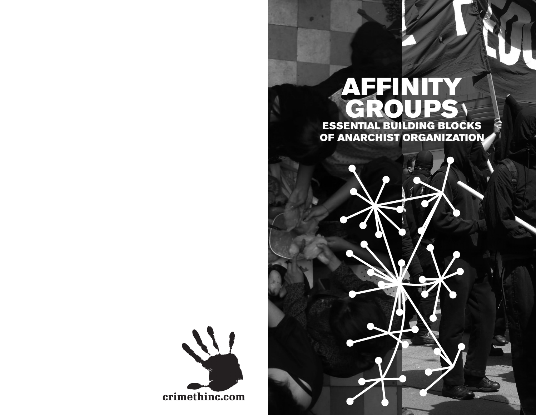# AFFINITY GROUPS ESSENTIAL BUILDING BLOCKS

OF ANARCHIST ORGANIZATION

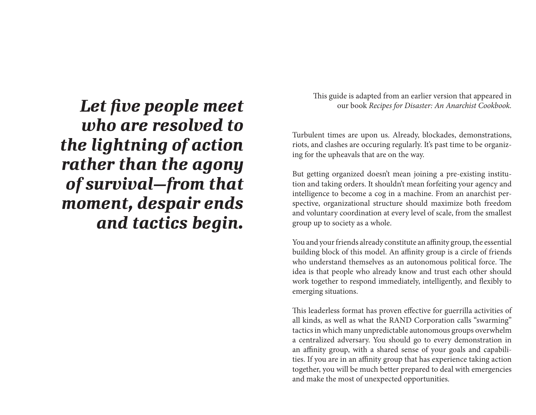*Let five people meet who are resolved to the lightning of action rather than the agony of survival—from that moment, despair ends and tactics begin.*

This guide is adapted from an earlier version that appeared in our book Recipes for Disaster: An Anarchist Cookbook.

Turbulent times are upon us. Already, blockades, demonstrations, riots, and clashes are occuring regularly. It's past time to be organizing for the upheavals that are on the way.

But getting organized doesn't mean joining a pre-existing institution and taking orders. It shouldn't mean forfeiting your agency and intelligence to become a cog in a machine. From an anarchist perspective, organizational structure should maximize both freedom and voluntary coordination at every level of scale, from the smallest group up to society as a whole.

You and your friends already constitute an affinity group, the essential building block of this model. An affinity group is a circle of friends who understand themselves as an autonomous political force. The idea is that people who already know and trust each other should work together to respond immediately, intelligently, and flexibly to emerging situations.

This leaderless format has proven effective for guerrilla activities of all kinds, as well as what the RAND Corporation calls "swarming" tactics in which many unpredictable autonomous groups overwhelm a centralized adversary. You should go to every demonstration in an affinity group, with a shared sense of your goals and capabilities. If you are in an affinity group that has experience taking action together, you will be much better prepared to deal with emergencies and make the most of unexpected opportunities.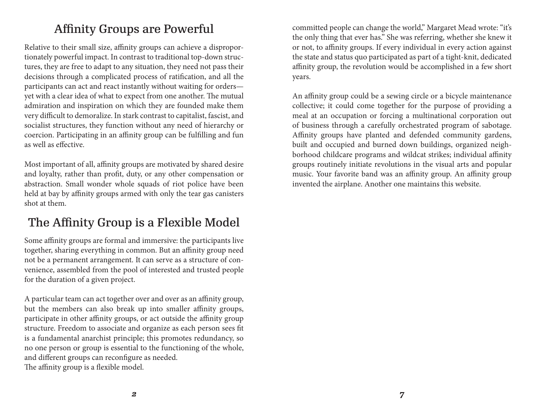## Affinity Groups are Powerful

Relative to their small size, affinity groups can achieve a disproportionately powerful impact. In contrast to traditional top-down structures, they are free to adapt to any situation, they need not pass their decisions through a complicated process of ratification, and all the participants can act and react instantly without waiting for orders yet with a clear idea of what to expect from one another. The mutual admiration and inspiration on which they are founded make them very difficult to demoralize. In stark contrast to capitalist, fascist, and socialist structures, they function without any need of hierarchy or coercion. Participating in an affinity group can be fulfilling and fun as well as effective.

Most important of all, affinity groups are motivated by shared desire and loyalty, rather than profit, duty, or any other compensation or abstraction. Small wonder whole squads of riot police have been held at bay by affinity groups armed with only the tear gas canisters shot at them.

## The Affinity Group is a Flexible Model

Some affinity groups are formal and immersive: the participants live together, sharing everything in common. But an affinity group need not be a permanent arrangement. It can serve as a structure of convenience, assembled from the pool of interested and trusted people for the duration of a given project.

A particular team can act together over and over as an affinity group, but the members can also break up into smaller affinity groups, participate in other affinity groups, or act outside the affinity group structure. Freedom to associate and organize as each person sees fit is a fundamental anarchist principle; this promotes redundancy, so no one person or group is essential to the functioning of the whole, and different groups can reconfigure as needed. The affinity group is a flexible model.

committed people can change the world," Margaret Mead wrote: "it's the only thing that ever has." She was referring, whether she knew it or not, to affinity groups. If every individual in every action against the state and status quo participated as part of a tight-knit, dedicated affinity group, the revolution would be accomplished in a few short years.

An affinity group could be a sewing circle or a bicycle maintenance collective; it could come together for the purpose of providing a meal at an occupation or forcing a multinational corporation out of business through a carefully orchestrated program of sabotage. Affinity groups have planted and defended community gardens, built and occupied and burned down buildings, organized neighborhood childcare programs and wildcat strikes; individual affinity groups routinely initiate revolutions in the visual arts and popular music. Your favorite band was an affinity group. An affinity group invented the airplane. Another one maintains this website.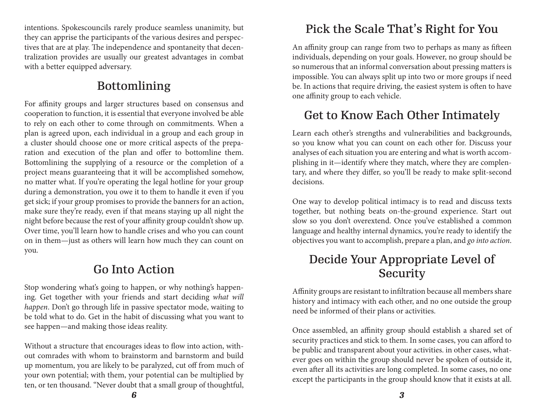intentions. Spokescouncils rarely produce seamless unanimity, but they can apprise the participants of the various desires and perspectives that are at play. The independence and spontaneity that decentralization provides are usually our greatest advantages in combat with a better equipped adversary.

## Bottomlining

For affinity groups and larger structures based on consensus and cooperation to function, it is essential that everyone involved be able to rely on each other to come through on commitments. When a plan is agreed upon, each individual in a group and each group in a cluster should choose one or more critical aspects of the preparation and execution of the plan and offer to bottomline them. Bottomlining the supplying of a resource or the completion of a project means guaranteeing that it will be accomplished somehow, no matter what. If you're operating the legal hotline for your group during a demonstration, you owe it to them to handle it even if you get sick; if your group promises to provide the banners for an action, make sure they're ready, even if that means staying up all night the night before because the rest of your affinity group couldn't show up. Over time, you'll learn how to handle crises and who you can count on in them—just as others will learn how much they can count on you.

#### Go Into Action

Stop wondering what's going to happen, or why nothing's happening. Get together with your friends and start deciding what will happen. Don't go through life in passive spectator mode, waiting to be told what to do. Get in the habit of discussing what you want to see happen—and making those ideas reality.

Without a structure that encourages ideas to flow into action, without comrades with whom to brainstorm and barnstorm and build up momentum, you are likely to be paralyzed, cut off from much of your own potential; with them, your potential can be multiplied by ten, or ten thousand. "Never doubt that a small group of thoughtful,

## Pick the Scale That's Right for You

An affinity group can range from two to perhaps as many as fifteen individuals, depending on your goals. However, no group should be so numerous that an informal conversation about pressing matters is impossible. You can always split up into two or more groups if need be. In actions that require driving, the easiest system is often to have one affinity group to each vehicle.

## Get to Know Each Other Intimately

Learn each other's strengths and vulnerabilities and backgrounds, so you know what you can count on each other for. Discuss your analyses of each situation you are entering and what is worth accomplishing in it—identify where they match, where they are complentary, and where they differ, so you'll be ready to make split-second decisions.

One way to develop political intimacy is to read and discuss texts together, but nothing beats on-the-ground experience. Start out slow so you don't overextend. Once you've established a common language and healthy internal dynamics, you're ready to identify the objectives you want to accomplish, prepare a plan, and go into action.

## Decide Your Appropriate Level of **Security**

Affinity groups are resistant to infiltration because all members share history and intimacy with each other, and no one outside the group need be informed of their plans or activities.

Once assembled, an affinity group should establish a shared set of security practices and stick to them. In some cases, you can afford to be public and transparent about your activities. in other cases, whatever goes on within the group should never be spoken of outside it, even after all its activities are long completed. In some cases, no one except the participants in the group should know that it exists at all.